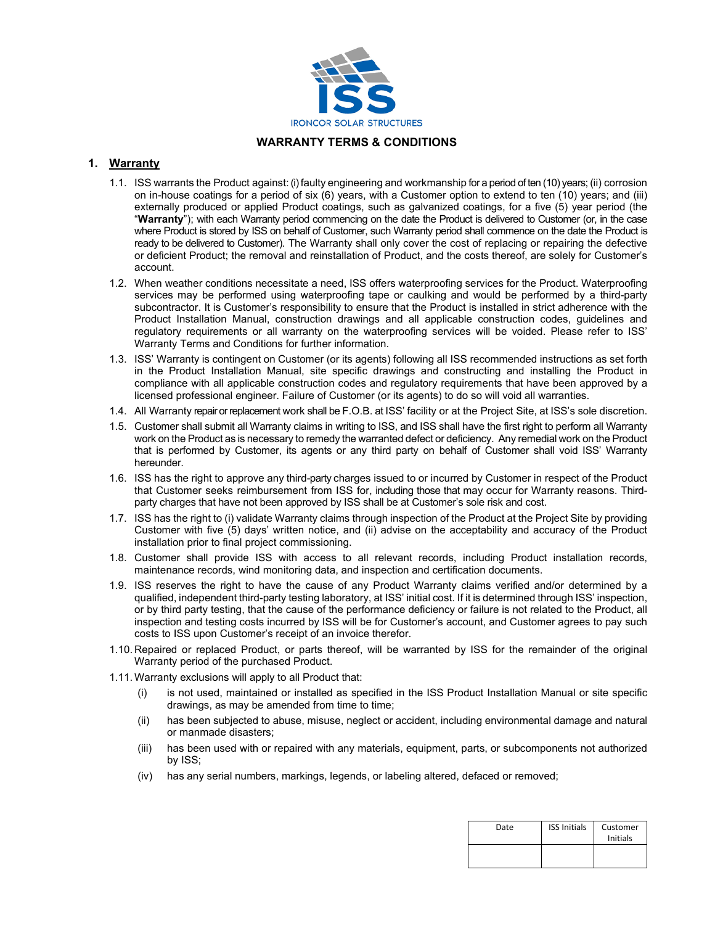

## **WARRANTY TERMS & CONDITIONS**

## **1. Warranty**

- 1.1. ISS warrants the Product against: (i) faulty engineering and workmanship for a period of ten (10) years; (ii) corrosion on in-house coatings for a period of six (6) years, with a Customer option to extend to ten (10) years; and (iii) externally produced or applied Product coatings, such as galvanized coatings, for a five (5) year period (the "**Warranty**"); with each Warranty period commencing on the date the Product is delivered to Customer (or, in the case where Product is stored by ISS on behalf of Customer, such Warranty period shall commence on the date the Product is ready to be delivered to Customer). The Warranty shall only cover the cost of replacing or repairing the defective or deficient Product; the removal and reinstallation of Product, and the costs thereof, are solely for Customer's account.
- 1.2. When weather conditions necessitate a need, ISS offers waterproofing services for the Product. Waterproofing services may be performed using waterproofing tape or caulking and would be performed by a third-party subcontractor. It is Customer's responsibility to ensure that the Product is installed in strict adherence with the Product Installation Manual, construction drawings and all applicable construction codes, guidelines and regulatory requirements or all warranty on the waterproofing services will be voided. Please refer to ISS' Warranty Terms and Conditions for further information.
- 1.3. ISS' Warranty is contingent on Customer (or its agents) following all ISS recommended instructions as set forth in the Product Installation Manual, site specific drawings and constructing and installing the Product in compliance with all applicable construction codes and regulatory requirements that have been approved by a licensed professional engineer. Failure of Customer (or its agents) to do so will void all warranties.
- 1.4. All Warranty repair or replacement work shall be F.O.B. at ISS' facility or at the Project Site, at ISS's sole discretion.
- 1.5. Customer shall submit all Warranty claims in writing to ISS, and ISS shall have the first right to perform all Warranty work on the Product as is necessary to remedy the warranted defect or deficiency. Any remedial work on the Product that is performed by Customer, its agents or any third party on behalf of Customer shall void ISS' Warranty hereunder.
- 1.6. ISS has the right to approve any third-party charges issued to or incurred by Customer in respect of the Product that Customer seeks reimbursement from ISS for, including those that may occur for Warranty reasons. Thirdparty charges that have not been approved by ISS shall be at Customer's sole risk and cost.
- 1.7. ISS has the right to (i) validate Warranty claims through inspection of the Product at the Project Site by providing Customer with five (5) days' written notice, and (ii) advise on the acceptability and accuracy of the Product installation prior to final project commissioning.
- 1.8. Customer shall provide ISS with access to all relevant records, including Product installation records, maintenance records, wind monitoring data, and inspection and certification documents.
- 1.9. ISS reserves the right to have the cause of any Product Warranty claims verified and/or determined by a qualified, independent third-party testing laboratory, at ISS' initial cost. If it is determined through ISS' inspection, or by third party testing, that the cause of the performance deficiency or failure is not related to the Product, all inspection and testing costs incurred by ISS will be for Customer's account, and Customer agrees to pay such costs to ISS upon Customer's receipt of an invoice therefor.
- 1.10. Repaired or replaced Product, or parts thereof, will be warranted by ISS for the remainder of the original Warranty period of the purchased Product.
- 1.11. Warranty exclusions will apply to all Product that:
	- (i) is not used, maintained or installed as specified in the ISS Product Installation Manual or site specific drawings, as may be amended from time to time;
	- (ii) has been subjected to abuse, misuse, neglect or accident, including environmental damage and natural or manmade disasters;
	- (iii) has been used with or repaired with any materials, equipment, parts, or subcomponents not authorized by ISS;
	- (iv) has any serial numbers, markings, legends, or labeling altered, defaced or removed;

| Date | <b>ISS Initials</b> | Customer<br>Initials |
|------|---------------------|----------------------|
|      |                     |                      |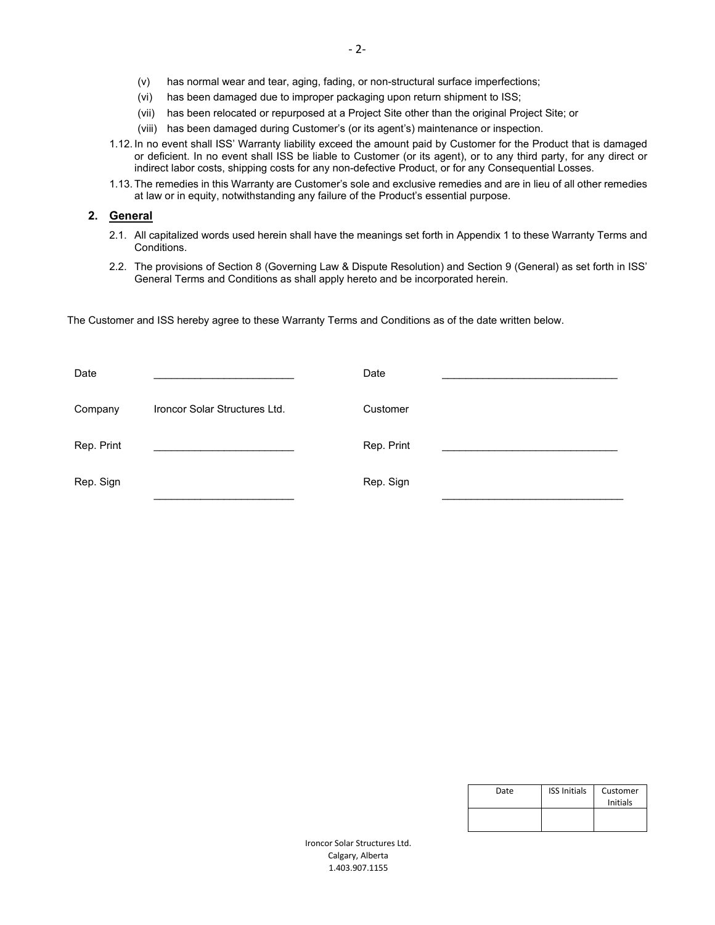- (v) has normal wear and tear, aging, fading, or non-structural surface imperfections;
- (vi) has been damaged due to improper packaging upon return shipment to ISS;
- (vii) has been relocated or repurposed at a Project Site other than the original Project Site; or
- (viii) has been damaged during Customer's (or its agent's) maintenance or inspection.
- 1.12. In no event shall ISS' Warranty liability exceed the amount paid by Customer for the Product that is damaged or deficient. In no event shall ISS be liable to Customer (or its agent), or to any third party, for any direct or indirect labor costs, shipping costs for any non-defective Product, or for any Consequential Losses.
- 1.13. The remedies in this Warranty are Customer's sole and exclusive remedies and are in lieu of all other remedies at law or in equity, notwithstanding any failure of the Product's essential purpose.

#### **2. General**

- 2.1. All capitalized words used herein shall have the meanings set forth in Appendix 1 to these Warranty Terms and Conditions.
- 2.2. The provisions of Section 8 (Governing Law & Dispute Resolution) and Section 9 (General) as set forth in ISS' General Terms and Conditions as shall apply hereto and be incorporated herein.

The Customer and ISS hereby agree to these Warranty Terms and Conditions as of the date written below.

| Date       |                               | Date       |  |
|------------|-------------------------------|------------|--|
| Company    | Ironcor Solar Structures Ltd. | Customer   |  |
| Rep. Print |                               | Rep. Print |  |
| Rep. Sign  |                               | Rep. Sign  |  |

| Date | <b>ISS Initials</b> | Customer |
|------|---------------------|----------|
|      |                     | Initials |
|      |                     |          |
|      |                     |          |

Ironcor Solar Structures Ltd. Calgary, Alberta 1.403.907.1155